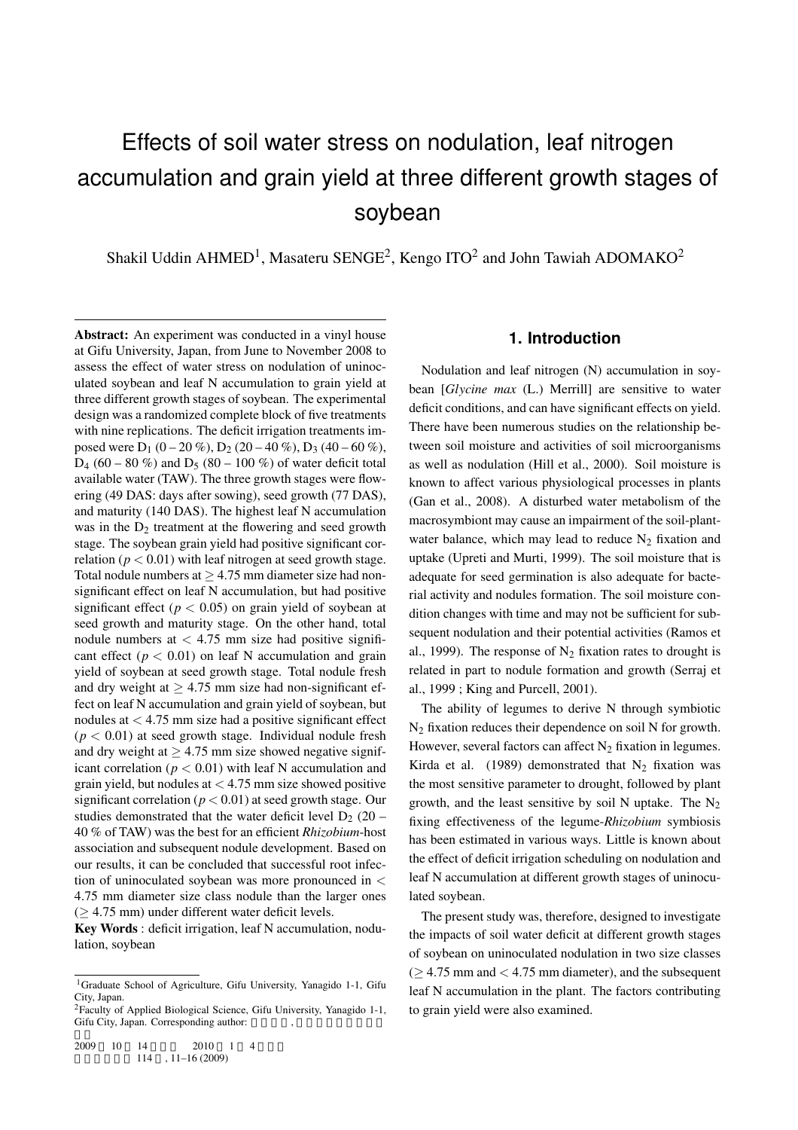# Effects of soil water stress on nodulation, leaf nitrogen accumulation and grain yield at three different growth stages of soybean

Shakil Uddin AHMED<sup>1</sup>, Masateru SENGE<sup>2</sup>, Kengo ITO<sup>2</sup> and John Tawiah ADOMAKO<sup>2</sup>

Abstract: An experiment was conducted in a vinyl house at Gifu University, Japan, from June to November 2008 to assess the effect of water stress on nodulation of uninoculated soybean and leaf N accumulation to grain yield at three different growth stages of soybean. The experimental design was a randomized complete block of five treatments with nine replications. The deficit irrigation treatments imposed were  $D_1$  (0 – 20 %),  $D_2$  (20 – 40 %),  $D_3$  (40 – 60 %),  $D_4$  (60 – 80 %) and  $D_5$  (80 – 100 %) of water deficit total available water (TAW). The three growth stages were flowering (49 DAS: days after sowing), seed growth (77 DAS), and maturity (140 DAS). The highest leaf N accumulation was in the  $D_2$  treatment at the flowering and seed growth stage. The soybean grain yield had positive significant correlation ( $p < 0.01$ ) with leaf nitrogen at seed growth stage. Total nodule numbers at *≥* 4.75 mm diameter size had nonsignificant effect on leaf N accumulation, but had positive significant effect ( $p < 0.05$ ) on grain yield of soybean at seed growth and maturity stage. On the other hand, total nodule numbers at *<* 4.75 mm size had positive significant effect ( $p < 0.01$ ) on leaf N accumulation and grain yield of soybean at seed growth stage. Total nodule fresh and dry weight at  $\geq 4.75$  mm size had non-significant effect on leaf N accumulation and grain yield of soybean, but nodules at *<* 4.75 mm size had a positive significant effect  $(p < 0.01)$  at seed growth stage. Individual nodule fresh and dry weight at  $\geq 4.75$  mm size showed negative significant correlation ( $p < 0.01$ ) with leaf N accumulation and grain yield, but nodules at *<* 4.75 mm size showed positive significant correlation ( $p < 0.01$ ) at seed growth stage. Our studies demonstrated that the water deficit level  $D_2$  (20 – 40 % of TAW) was the best for an efficient *Rhizobium*-host association and subsequent nodule development. Based on our results, it can be concluded that successful root infection of uninoculated soybean was more pronounced in *<* 4.75 mm diameter size class nodule than the larger ones (*≥* 4.75 mm) under different water deficit levels.

Key Words : deficit irrigation, leaf N accumulation, nodulation, soybean

## **1. Introduction**

Nodulation and leaf nitrogen (N) accumulation in soybean [*Glycine max* (L.) Merrill] are sensitive to water deficit conditions, and can have significant effects on yield. There have been numerous studies on the relationship between soil moisture and activities of soil microorganisms as well as nodulation (Hill et al., 2000). Soil moisture is known to affect various physiological processes in plants (Gan et al., 2008). A disturbed water metabolism of the macrosymbiont may cause an impairment of the soil-plantwater balance, which may lead to reduce  $N_2$  fixation and uptake (Upreti and Murti, 1999). The soil moisture that is adequate for seed germination is also adequate for bacterial activity and nodules formation. The soil moisture condition changes with time and may not be sufficient for subsequent nodulation and their potential activities (Ramos et al., 1999). The response of  $N_2$  fixation rates to drought is related in part to nodule formation and growth (Serraj et al., 1999 ; King and Purcell, 2001).

The ability of legumes to derive N through symbiotic N<sup>2</sup> fixation reduces their dependence on soil N for growth. However, several factors can affect  $N_2$  fixation in legumes. Kirda et al. (1989) demonstrated that  $N_2$  fixation was the most sensitive parameter to drought, followed by plant growth, and the least sensitive by soil N uptake. The  $N_2$ fixing effectiveness of the legume-*Rhizobium* symbiosis has been estimated in various ways. Little is known about the effect of deficit irrigation scheduling on nodulation and leaf N accumulation at different growth stages of uninoculated soybean.

The present study was, therefore, designed to investigate the impacts of soil water deficit at different growth stages of soybean on uninoculated nodulation in two size classes (*≥* 4.75 mm and *<* 4.75 mm diameter), and the subsequent leaf N accumulation in the plant. The factors contributing to grain yield were also examined.

<sup>1</sup>Graduate School of Agriculture, Gifu University, Yanagido 1-1, Gifu City, Japan.

 ${}^{2}$ Faculty of Applied Biological Science, Gifu University, Yanagido 1-1, Gifu City, Japan. Corresponding author: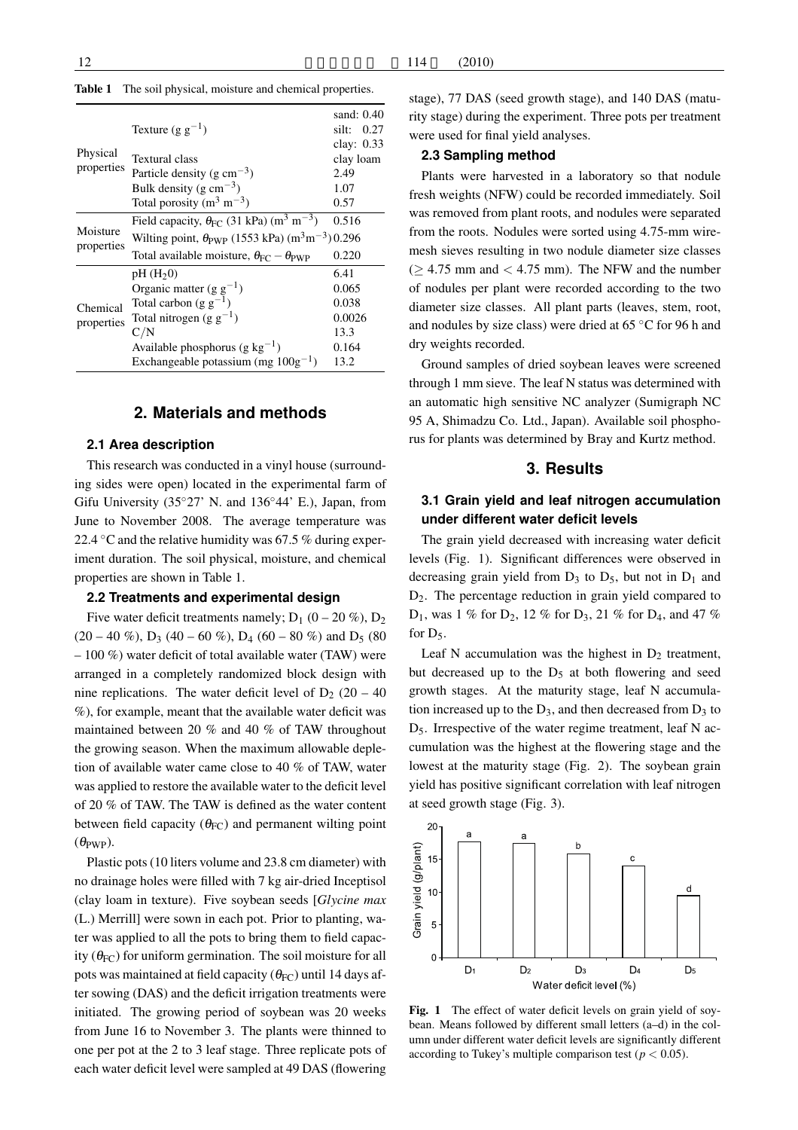|                        | Texture $(g g^{-1})$                                                                    | sand: $0.40$<br>silt:<br>0.27<br>clay: $0.33$ |  |  |  |  |
|------------------------|-----------------------------------------------------------------------------------------|-----------------------------------------------|--|--|--|--|
| Physical               | Textural class                                                                          | clay loam                                     |  |  |  |  |
| properties             | Particle density (g cm <sup><math>-3</math></sup> )                                     | 2.49                                          |  |  |  |  |
|                        | Bulk density (g cm <sup><math>-3</math></sup> )                                         | 1.07                                          |  |  |  |  |
|                        | Total porosity $(m^3 m^{-3})$                                                           | 0.57                                          |  |  |  |  |
| Moisture               | Field capacity, $\theta_{FC}$ (31 kPa) (m <sup>3</sup> m <sup>-3</sup> )                | 0.516                                         |  |  |  |  |
|                        | Wilting point, $\theta_{\text{PWP}}$ (1553 kPa) (m <sup>3</sup> m <sup>-3</sup> ) 0.296 |                                               |  |  |  |  |
| properties             | Total available moisture, $\theta_{FC} - \theta_{PWP}$                                  | 0.220                                         |  |  |  |  |
|                        | pH(H <sub>2</sub> 0)                                                                    | 6.41                                          |  |  |  |  |
| Chemical<br>properties | Organic matter $(g g^{-1})$                                                             | 0.065                                         |  |  |  |  |
|                        | Total carbon (g $g^{-1}$ )                                                              | 0.038                                         |  |  |  |  |
|                        | Total nitrogen (g $g^{-1}$ )                                                            | 0.0026                                        |  |  |  |  |
|                        | C/N                                                                                     | 13.3                                          |  |  |  |  |
|                        | Available phosphorus (g $kg^{-1}$ )                                                     | 0.164                                         |  |  |  |  |
|                        | Exchangeable potassium (mg $100g^{-1}$ )                                                | 13.2                                          |  |  |  |  |

## **2. Materials and methods**

#### **2.1 Area description**

This research was conducted in a vinyl house (surrounding sides were open) located in the experimental farm of Gifu University (35*◦*27' N. and 136*◦*44' E.), Japan, from June to November 2008. The average temperature was 22.4 *◦*C and the relative humidity was 67.5 % during experiment duration. The soil physical, moisture, and chemical properties are shown in Table 1.

#### **2.2 Treatments and experimental design**

Five water deficit treatments namely;  $D_1$  (0 – 20 %),  $D_2$  $(20 - 40 \%)$ , D<sub>3</sub> (40 – 60 %), D<sub>4</sub> (60 – 80 %) and D<sub>5</sub> (80)  $-100\%$ ) water deficit of total available water (TAW) were arranged in a completely randomized block design with nine replications. The water deficit level of  $D_2$  (20 – 40) %), for example, meant that the available water deficit was maintained between 20 % and 40 % of TAW throughout the growing season. When the maximum allowable depletion of available water came close to 40 % of TAW, water was applied to restore the available water to the deficit level of 20 % of TAW. The TAW is defined as the water content between field capacity ( $\theta_{FC}$ ) and permanent wilting point  $(\theta_{\text{PWP}})$ .

Plastic pots (10 liters volume and 23.8 cm diameter) with no drainage holes were filled with 7 kg air-dried Inceptisol (clay loam in texture). Five soybean seeds [*Glycine max* (L.) Merrill] were sown in each pot. Prior to planting, water was applied to all the pots to bring them to field capacity ( $\theta_{FC}$ ) for uniform germination. The soil moisture for all pots was maintained at field capacity ( $\theta_{FC}$ ) until 14 days after sowing (DAS) and the deficit irrigation treatments were initiated. The growing period of soybean was 20 weeks from June 16 to November 3. The plants were thinned to one per pot at the 2 to 3 leaf stage. Three replicate pots of each water deficit level were sampled at 49 DAS (flowering

#### **2.3 Sampling method**

Plants were harvested in a laboratory so that nodule fresh weights (NFW) could be recorded immediately. Soil was removed from plant roots, and nodules were separated from the roots. Nodules were sorted using 4.75-mm wiremesh sieves resulting in two nodule diameter size classes (*≥* 4.75 mm and *<* 4.75 mm). The NFW and the number of nodules per plant were recorded according to the two diameter size classes. All plant parts (leaves, stem, root, and nodules by size class) were dried at 65 *◦*C for 96 h and dry weights recorded.

Ground samples of dried soybean leaves were screened through 1 mm sieve. The leaf N status was determined with an automatic high sensitive NC analyzer (Sumigraph NC 95 A, Shimadzu Co. Ltd., Japan). Available soil phosphorus for plants was determined by Bray and Kurtz method.

#### **3. Results**

## **3.1 Grain yield and leaf nitrogen accumulation under different water deficit levels**

The grain yield decreased with increasing water deficit levels (Fig. 1). Significant differences were observed in decreasing grain yield from  $D_3$  to  $D_5$ , but not in  $D_1$  and D2. The percentage reduction in grain yield compared to  $D_1$ , was 1 % for  $D_2$ , 12 % for  $D_3$ , 21 % for  $D_4$ , and 47 % for  $D_5$ .

Leaf N accumulation was the highest in  $D_2$  treatment, but decreased up to the  $D_5$  at both flowering and seed growth stages. At the maturity stage, leaf N accumulation increased up to the  $D_3$ , and then decreased from  $D_3$  to  $D_5$ . Irrespective of the water regime treatment, leaf N accumulation was the highest at the flowering stage and the lowest at the maturity stage (Fig. 2). The soybean grain yield has positive significant correlation with leaf nitrogen at seed growth stage (Fig. 3).



Fig. 1 The effect of water deficit levels on grain yield of soybean. Means followed by different small letters (a–d) in the column under different water deficit levels are significantly different according to Tukey's multiple comparison test ( $p < 0.05$ ).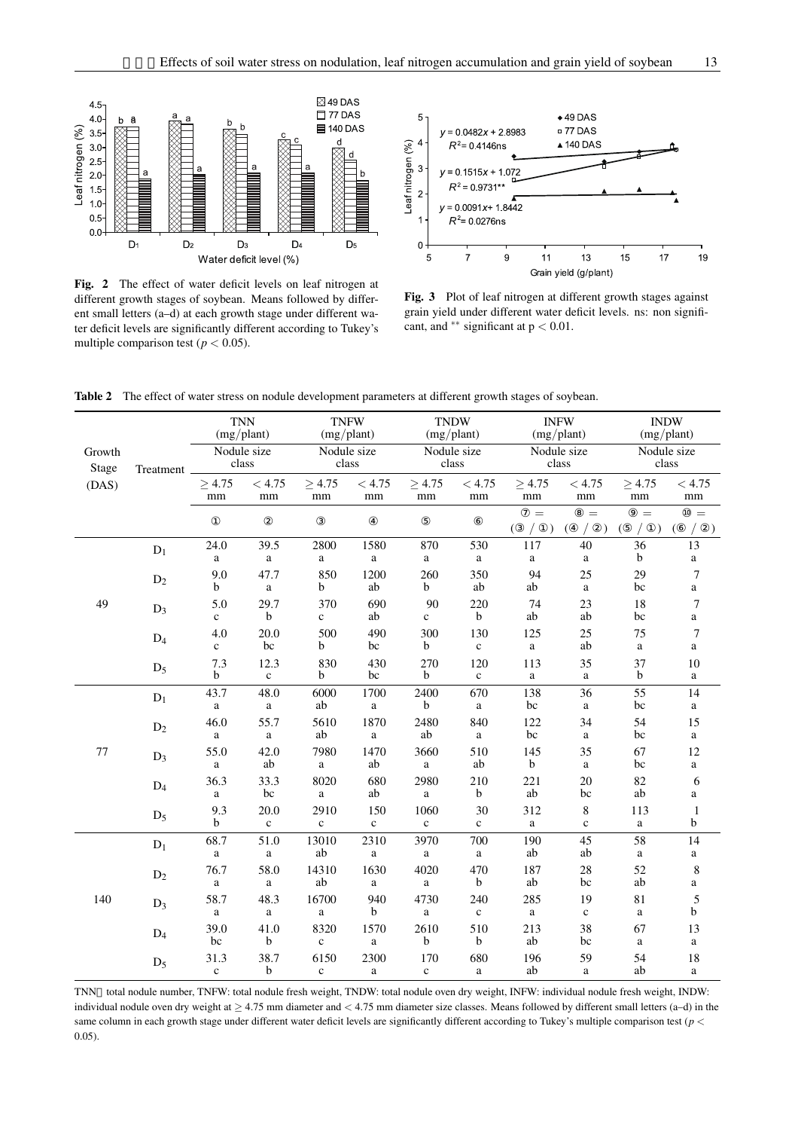

Fig. 2 The effect of water deficit levels on leaf nitrogen at different growth stages of soybean. Means followed by different small letters (a–d) at each growth stage under different water deficit levels are significantly different according to Tukey's multiple comparison test ( $p < 0.05$ ).



Fig. 3 Plot of leaf nitrogen at different growth stages against grain yield under different water deficit levels. ns: non significant, and *∗∗* significant at p *<* 0.01.

| Growth         | Treatment      | <b>TNN</b><br>(mg/plant)<br>Nodule size<br>class |                      | <b>TNFW</b><br>(mg/plant)<br>Nodule size<br>class |                      | <b>TNDW</b><br>(mg/plant)<br>Nodule size<br>class |                     | <b>INFW</b><br>(mg/plant)<br>Nodule size<br>class |                              | <b>INDW</b><br>(mg/plant)<br>Nodule size<br>class |                         |
|----------------|----------------|--------------------------------------------------|----------------------|---------------------------------------------------|----------------------|---------------------------------------------------|---------------------|---------------------------------------------------|------------------------------|---------------------------------------------------|-------------------------|
| Stage<br>(DAS) |                |                                                  |                      |                                                   |                      |                                                   |                     |                                                   |                              |                                                   |                         |
|                |                | $\geq 4.75$<br>mm                                | < 4.75<br>$\rm mm$   | $\geq 4.75$<br>$\rm mm$                           | < 4.75<br>$\rm mm$   | $\geq 4.75$<br>$\rm mm$                           | $< 4.75\,$<br>mm    | $\geq 4.75$<br>$\rm mm$                           | < 4.75<br>$\rm mm$           | $\geq 4.75$<br>$\rm mm$                           | < 4.75<br>$\rm mm$      |
|                |                |                                                  |                      |                                                   |                      |                                                   |                     | $=$<br>$\mathcal{L}$                              | $=$<br>$\left($<br>$\lambda$ | $=$<br>(                                          | $=$                     |
| 49             | $D_1$          | 24.0<br>a                                        | 39.5<br>a            | 2800<br>a                                         | 1580<br>$\mathbf{a}$ | 870<br>$\mathbf{a}$                               | 530<br>$\mathbf{a}$ | 117<br>$\rm{a}$                                   | 40<br>a                      | 36<br>$\mathbf b$                                 | 13<br>$\mathbf{a}$      |
|                | $\mathbf{D}_2$ | 9.0<br>$\mathbf b$                               | 47.7<br>$\mathbf{a}$ | 850<br>b                                          | 1200<br>ab           | 260<br>$\mathbf b$                                | 350<br>ab           | 94<br>ab                                          | 25<br>$\mathbf{a}$           | 29<br>bc                                          | 7<br>$\rm{a}$           |
|                | $\mathbf{D}_3$ | 5.0<br>$\mathbf c$                               | 29.7<br>b            | 370<br>$\mathbf c$                                | 690<br>ab            | 90<br>$\mathbf{c}$                                | 220<br>$\mathbf b$  | 74<br>ab                                          | 23<br>ab                     | 18<br>bc                                          | $\boldsymbol{7}$<br>a   |
|                | $D_4$          | 4.0<br>$\mathbf{c}$                              | 20.0<br>bc           | 500<br>b                                          | 490<br>bc            | 300<br>$\mathbf b$                                | 130<br>$\mathbf c$  | 125<br>$\rm{a}$                                   | 25<br>ab                     | 75<br>$\mathbf{a}$                                | 7<br>$\rm{a}$           |
|                | $D_5$          | 7.3<br>b                                         | 12.3<br>$\mathbf c$  | 830<br>b                                          | 430<br>bc            | 270<br>b                                          | 120<br>$\mathbf c$  | 113<br>a                                          | 35<br>a                      | 37<br>$\mathbf b$                                 | 10<br>a                 |
| 77             | $D_1$          | 43.7<br>$\mathbf{a}$                             | 48.0<br>$\mathbf{a}$ | 6000<br>ab                                        | 1700<br>a            | 2400<br>$\mathbf b$                               | 670<br>$\rm{a}$     | 138<br>bc                                         | 36<br>$\mathbf{a}$           | 55<br>bc                                          | 14<br>a                 |
|                | $D_2$          | 46.0<br>a                                        | 55.7<br>$\rm{a}$     | 5610<br>ab                                        | 1870<br>$\rm{a}$     | 2480<br>ab                                        | 840<br>a            | 122<br>bc                                         | 34<br>$\mathbf{a}$           | 54<br>bc                                          | 15<br>$\rm{a}$          |
|                | $D_3$          | 55.0<br>a                                        | 42.0<br>ab           | 7980<br>$\rm{a}$                                  | 1470<br>ab           | 3660<br>$\rm{a}$                                  | 510<br>ab           | 145<br>$\mathbf b$                                | 35<br>a                      | 67<br>bc                                          | 12<br>$\mathbf{a}$      |
|                | $D_4$          | 36.3<br>a                                        | 33.3<br>bc           | 8020<br>a                                         | 680<br>ab            | 2980<br>a                                         | 210<br>$\mathbf b$  | 221<br>ab                                         | $20\,$<br>bc                 | 82<br>ab                                          | 6<br>a                  |
|                | $D_5$          | 9.3<br>$\mathbf b$                               | 20.0<br>$\mathbf c$  | 2910<br>$\mathbf c$                               | 150<br>$\mathbf c$   | 1060<br>$\mathbf c$                               | 30<br>$\mathbf c$   | 312<br>a                                          | $\,8$<br>$\mathbf c$         | 113<br>$\rm{a}$                                   | $\mathbf{1}$<br>b       |
| 140            | $D_1$          | 68.7<br>a                                        | 51.0<br>a            | 13010<br>ab                                       | 2310<br>a            | 3970<br>a                                         | 700<br>a            | 190<br>ab                                         | 45<br>ab                     | 58<br>$\mathbf{a}$                                | 14<br>a                 |
|                | $D_2$          | 76.7<br>$\rm{a}$                                 | 58.0<br>a            | 14310<br>ab                                       | 1630<br>$\rm{a}$     | 4020<br>a                                         | 470<br>$\mathbf b$  | 187<br>ab                                         | 28<br>bc                     | 52<br>ab                                          | $\,$ 8 $\,$<br>$\rm{a}$ |
|                | $D_3$          | 58.7<br>a                                        | 48.3<br>a            | 16700<br>$\mathbf a$                              | 940<br>b             | 4730<br>a                                         | 240<br>$\mathbf c$  | 285<br>a                                          | 19<br>$\mathbf c$            | 81<br>$\mathbf{a}$                                | 5<br>b                  |
|                | $D_4$          | 39.0<br>bc                                       | 41.0<br>b            | 8320<br>$\mathbf c$                               | 1570<br>$\rm{a}$     | 2610<br>b                                         | 510<br>$\mathbf b$  | 213<br>ab                                         | 38<br>bc                     | 67<br>$\rm{a}$                                    | 13<br>$\rm{a}$          |
|                | $D_5$          | 31.3<br>$\mathbf c$                              | 38.7<br>$\mathbf b$  | 6150<br>$\mathbf c$                               | 2300<br>a            | 170<br>$\mathbf c$                                | 680<br>$\mathbf a$  | 196<br>ab                                         | 59<br>$\mathbf a$            | 54<br>ab                                          | 18<br>$\rm{a}$          |

Table 2 The effect of water stress on nodule development parameters at different growth stages of soybean.

TNN total nodule number, TNFW: total nodule fresh weight, TNDW: total nodule oven dry weight, INFW: individual nodule fresh weight, INDW: individual nodule oven dry weight at *≥* 4.75 mm diameter and *<* 4.75 mm diameter size classes. Means followed by different small letters (a–d) in the same column in each growth stage under different water deficit levels are significantly different according to Tukey's multiple comparison test (*p <* 0.05).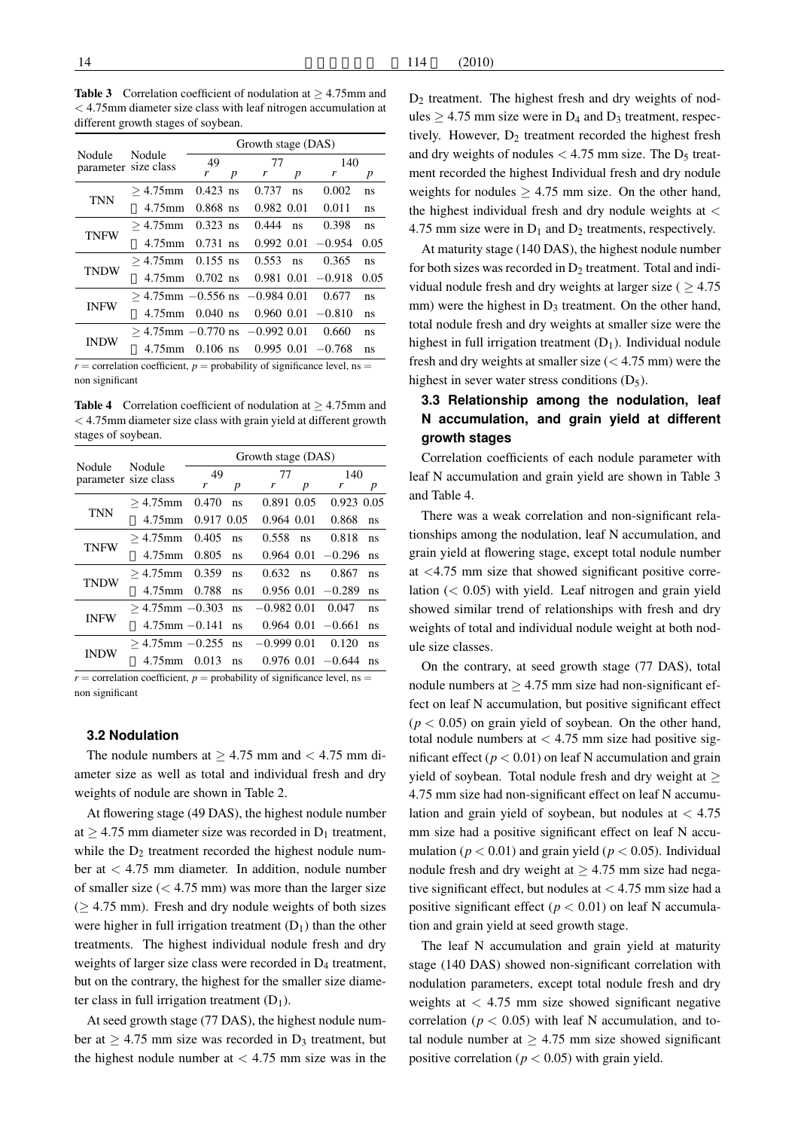Table 3 Correlation coefficient of nodulation at *≥* 4.75mm and *<* 4.75mm diameter size class with leaf nitrogen accumulation at different growth stages of soybean.

| Nodule<br>parameter size class | Nodule                               | Growth stage (DAS) |   |            |    |                         |      |  |  |  |
|--------------------------------|--------------------------------------|--------------------|---|------------|----|-------------------------|------|--|--|--|
|                                |                                      | 49                 |   | 77         |    | 140                     |      |  |  |  |
|                                |                                      | r                  | p | r          | p  | r                       | p    |  |  |  |
| <b>TNN</b>                     | $>4.75$ mm                           | $0.423$ ns         |   | 0.737      | ns | 0.002                   | ns   |  |  |  |
|                                | 4.75mm                               | $0.868$ ns         |   | 0.982 0.01 |    | 0.011                   | ns   |  |  |  |
| <b>TNFW</b>                    | $>4.75$ mm                           | $0.323$ ns         |   | 0.444      | ns | 0.398                   | ns.  |  |  |  |
|                                | $4.75$ mm $0.731$ ns                 |                    |   |            |    | $0.992$ $0.01$ $-0.954$ | 0.05 |  |  |  |
| <b>TNDW</b>                    | $> 4.75$ mm 0.155 ns                 |                    |   | 0.553      | ns | 0.365                   | ns.  |  |  |  |
|                                | $4.75$ mm $0.702$ ns                 |                    |   |            |    | $0.981$ $0.01$ $-0.918$ | 0.05 |  |  |  |
| <b>INFW</b>                    | $>$ 4.75mm $-0.556$ ns $-0.984$ 0.01 |                    |   |            |    | 0.677                   | ns   |  |  |  |
|                                | 4.75mm                               | $0.040$ ns         |   |            |    | $0.960$ $0.01$ $-0.810$ | ns   |  |  |  |
| <b>INDW</b>                    | $>$ 4.75mm $-0.770$ ns $-0.992$ 0.01 |                    |   |            |    | 0.660                   | ns   |  |  |  |
|                                | $4.75$ mm $0.106$ ns                 |                    |   |            |    | $0.995$ $0.01$ $-0.768$ | ns   |  |  |  |

 $r =$  correlation coefficient,  $p =$  probability of significance level, ns = non significant

Table 4 Correlation coefficient of nodulation at *≥* 4.75mm and *<* 4.75mm diameter size class with grain yield at different growth stages of soybean.

| Nodule<br>parameter size class | Growth stage (DAS) |       |                                                                                      |    |                                                                     |                                                                                                          |  |  |  |  |
|--------------------------------|--------------------|-------|--------------------------------------------------------------------------------------|----|---------------------------------------------------------------------|----------------------------------------------------------------------------------------------------------|--|--|--|--|
|                                |                    |       | 77                                                                                   |    | 140                                                                 |                                                                                                          |  |  |  |  |
|                                | r                  | p     | r                                                                                    | p  | r                                                                   | p                                                                                                        |  |  |  |  |
| $>4.75$ mm                     | 0.470              | ns    |                                                                                      |    | $0.923$ $0.05$                                                      |                                                                                                          |  |  |  |  |
| $4.75$ mm                      |                    |       |                                                                                      |    | 0.868                                                               | ns                                                                                                       |  |  |  |  |
| $>4.75$ mm                     | 0.405              | ns    | 0.558                                                                                | ns | 0.818                                                               | ns                                                                                                       |  |  |  |  |
| 4.75mm                         | 0.805              | ns    |                                                                                      |    |                                                                     | ns                                                                                                       |  |  |  |  |
| $>4.75$ mm                     | 0.359              | ns    |                                                                                      | ns | 0.867                                                               | ns                                                                                                       |  |  |  |  |
| 4.75mm                         | 0.788              | ns    |                                                                                      |    |                                                                     | ns                                                                                                       |  |  |  |  |
|                                |                    | ns    |                                                                                      |    | 0.047                                                               | ns                                                                                                       |  |  |  |  |
|                                |                    | ns    |                                                                                      |    |                                                                     | ns                                                                                                       |  |  |  |  |
|                                |                    | ns    |                                                                                      |    | 0.120                                                               | ns                                                                                                       |  |  |  |  |
| 4.75mm                         |                    | ns    |                                                                                      |    |                                                                     | ns                                                                                                       |  |  |  |  |
|                                |                    | 0.013 | 49<br>0.917 0.05<br>$>$ 4.75mm $-0.303$<br>$4.75$ mm $-0.141$<br>$>$ 4.75mm $-0.255$ |    | 0.891 0.05<br>0.964 0.01<br>0.632<br>$-0.982$ 0.01<br>$-0.999$ 0.01 | $0.964$ $0.01$ $-0.296$<br>$0.956$ $0.01$ $-0.289$<br>$0.964$ $0.01$ $-0.661$<br>$0.976$ $0.01$ $-0.644$ |  |  |  |  |

 $r =$  correlation coefficient,  $p =$  probability of significance level, ns = non significant

#### **3.2 Nodulation**

The nodule numbers at  $\geq 4.75$  mm and  $< 4.75$  mm diameter size as well as total and individual fresh and dry weights of nodule are shown in Table 2.

At flowering stage (49 DAS), the highest nodule number at  $\geq$  4.75 mm diameter size was recorded in D<sub>1</sub> treatment, while the  $D_2$  treatment recorded the highest nodule number at *<* 4.75 mm diameter. In addition, nodule number of smaller size (*<* 4.75 mm) was more than the larger size (*≥* 4.75 mm). Fresh and dry nodule weights of both sizes were higher in full irrigation treatment  $(D_1)$  than the other treatments. The highest individual nodule fresh and dry weights of larger size class were recorded in  $D_4$  treatment, but on the contrary, the highest for the smaller size diameter class in full irrigation treatment  $(D_1)$ .

At seed growth stage (77 DAS), the highest nodule number at  $\geq$  4.75 mm size was recorded in D<sub>3</sub> treatment, but the highest nodule number at *<* 4.75 mm size was in the  $D<sub>2</sub>$  treatment. The highest fresh and dry weights of nodules  $\geq$  4.75 mm size were in D<sub>4</sub> and D<sub>3</sub> treatment, respectively. However,  $D_2$  treatment recorded the highest fresh and dry weights of nodules  $<$  4.75 mm size. The  $D_5$  treatment recorded the highest Individual fresh and dry nodule weights for nodules  $\geq 4.75$  mm size. On the other hand, the highest individual fresh and dry nodule weights at *<* 4.75 mm size were in  $D_1$  and  $D_2$  treatments, respectively.

At maturity stage (140 DAS), the highest nodule number for both sizes was recorded in  $D_2$  treatment. Total and individual nodule fresh and dry weights at larger size ( *≥* 4.75 mm) were the highest in  $D_3$  treatment. On the other hand, total nodule fresh and dry weights at smaller size were the highest in full irrigation treatment  $(D_1)$ . Individual nodule fresh and dry weights at smaller size (*<* 4.75 mm) were the highest in sever water stress conditions  $(D_5)$ .

## **3.3 Relationship among the nodulation, leaf N accumulation, and grain yield at different growth stages**

Correlation coefficients of each nodule parameter with leaf N accumulation and grain yield are shown in Table 3 and Table 4.

There was a weak correlation and non-significant relationships among the nodulation, leaf N accumulation, and grain yield at flowering stage, except total nodule number at *<*4.75 mm size that showed significant positive correlation (*<* 0.05) with yield. Leaf nitrogen and grain yield showed similar trend of relationships with fresh and dry weights of total and individual nodule weight at both nodule size classes.

On the contrary, at seed growth stage (77 DAS), total nodule numbers at *≥* 4.75 mm size had non-significant effect on leaf N accumulation, but positive significant effect  $(p < 0.05)$  on grain yield of soybean. On the other hand, total nodule numbers at *<* 4.75 mm size had positive significant effect ( $p < 0.01$ ) on leaf N accumulation and grain yield of soybean. Total nodule fresh and dry weight at *≥* 4.75 mm size had non-significant effect on leaf N accumulation and grain yield of soybean, but nodules at *<* 4.75 mm size had a positive significant effect on leaf N accumulation ( $p < 0.01$ ) and grain yield ( $p < 0.05$ ). Individual nodule fresh and dry weight at *≥* 4.75 mm size had negative significant effect, but nodules at *<* 4.75 mm size had a positive significant effect ( $p < 0.01$ ) on leaf N accumulation and grain yield at seed growth stage.

The leaf N accumulation and grain yield at maturity stage (140 DAS) showed non-significant correlation with nodulation parameters, except total nodule fresh and dry weights at *<* 4.75 mm size showed significant negative correlation ( $p < 0.05$ ) with leaf N accumulation, and total nodule number at  $\geq$  4.75 mm size showed significant positive correlation ( $p < 0.05$ ) with grain yield.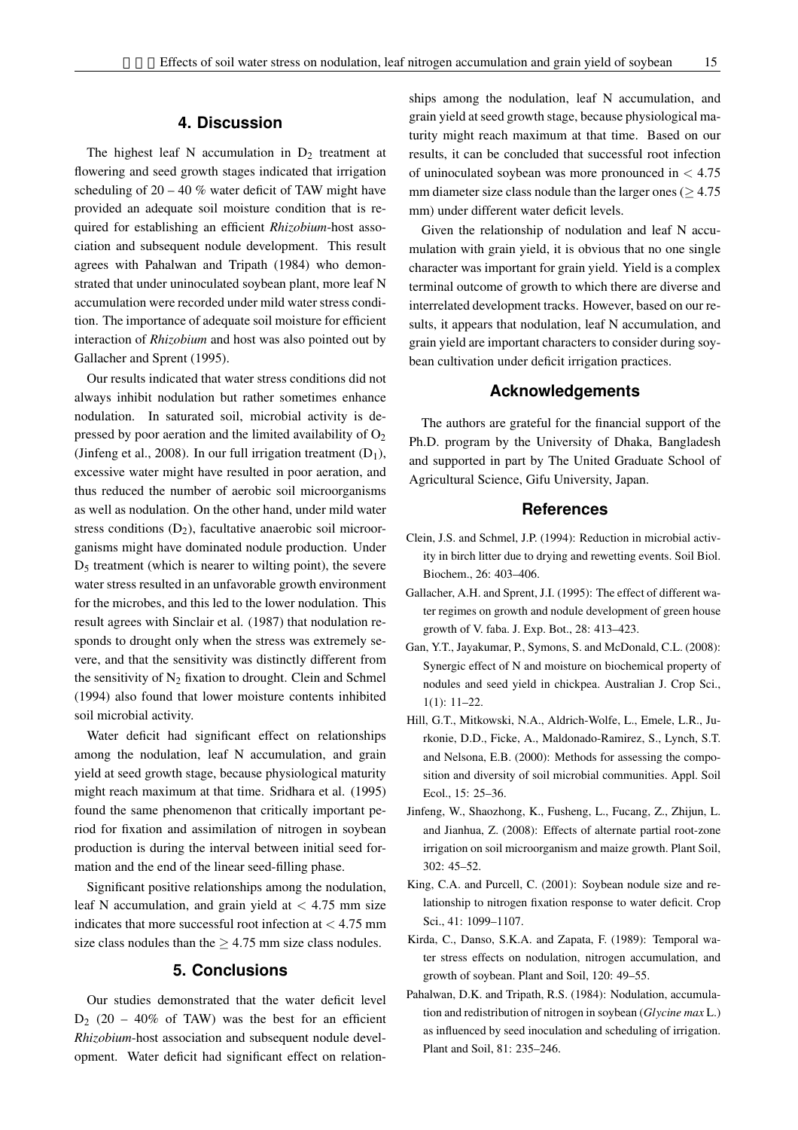#### **4. Discussion**

The highest leaf N accumulation in  $D_2$  treatment at flowering and seed growth stages indicated that irrigation scheduling of  $20 - 40$  % water deficit of TAW might have provided an adequate soil moisture condition that is required for establishing an efficient *Rhizobium*-host association and subsequent nodule development. This result agrees with Pahalwan and Tripath (1984) who demonstrated that under uninoculated soybean plant, more leaf N accumulation were recorded under mild water stress condition. The importance of adequate soil moisture for efficient interaction of *Rhizobium* and host was also pointed out by Gallacher and Sprent (1995).

Our results indicated that water stress conditions did not always inhibit nodulation but rather sometimes enhance nodulation. In saturated soil, microbial activity is depressed by poor aeration and the limited availability of  $O_2$ (Jinfeng et al., 2008). In our full irrigation treatment  $(D_1)$ , excessive water might have resulted in poor aeration, and thus reduced the number of aerobic soil microorganisms as well as nodulation. On the other hand, under mild water stress conditions  $(D_2)$ , facultative anaerobic soil microorganisms might have dominated nodule production. Under  $D<sub>5</sub>$  treatment (which is nearer to wilting point), the severe water stress resulted in an unfavorable growth environment for the microbes, and this led to the lower nodulation. This result agrees with Sinclair et al. (1987) that nodulation responds to drought only when the stress was extremely severe, and that the sensitivity was distinctly different from the sensitivity of  $N_2$  fixation to drought. Clein and Schmel (1994) also found that lower moisture contents inhibited soil microbial activity.

Water deficit had significant effect on relationships among the nodulation, leaf N accumulation, and grain yield at seed growth stage, because physiological maturity might reach maximum at that time. Sridhara et al. (1995) found the same phenomenon that critically important period for fixation and assimilation of nitrogen in soybean production is during the interval between initial seed formation and the end of the linear seed-filling phase.

Significant positive relationships among the nodulation, leaf N accumulation, and grain yield at *<* 4.75 mm size indicates that more successful root infection at *<* 4.75 mm size class nodules than the *≥* 4.75 mm size class nodules.

#### **5. Conclusions**

Our studies demonstrated that the water deficit level  $D_2$  (20 – 40% of TAW) was the best for an efficient *Rhizobium*-host association and subsequent nodule development. Water deficit had significant effect on relationships among the nodulation, leaf N accumulation, and grain yield at seed growth stage, because physiological maturity might reach maximum at that time. Based on our results, it can be concluded that successful root infection of uninoculated soybean was more pronounced in *<* 4.75 mm diameter size class nodule than the larger ones ( $\geq 4.75$ mm) under different water deficit levels.

Given the relationship of nodulation and leaf N accumulation with grain yield, it is obvious that no one single character was important for grain yield. Yield is a complex terminal outcome of growth to which there are diverse and interrelated development tracks. However, based on our results, it appears that nodulation, leaf N accumulation, and grain yield are important characters to consider during soybean cultivation under deficit irrigation practices.

## **Acknowledgements**

The authors are grateful for the financial support of the Ph.D. program by the University of Dhaka, Bangladesh and supported in part by The United Graduate School of Agricultural Science, Gifu University, Japan.

#### **References**

- Clein, J.S. and Schmel, J.P. (1994): Reduction in microbial activity in birch litter due to drying and rewetting events. Soil Biol. Biochem., 26: 403–406.
- Gallacher, A.H. and Sprent, J.I. (1995): The effect of different water regimes on growth and nodule development of green house growth of V. faba. J. Exp. Bot., 28: 413–423.
- Gan, Y.T., Jayakumar, P., Symons, S. and McDonald, C.L. (2008): Synergic effect of N and moisture on biochemical property of nodules and seed yield in chickpea. Australian J. Crop Sci., 1(1): 11–22.
- Hill, G.T., Mitkowski, N.A., Aldrich-Wolfe, L., Emele, L.R., Jurkonie, D.D., Ficke, A., Maldonado-Ramirez, S., Lynch, S.T. and Nelsona, E.B. (2000): Methods for assessing the composition and diversity of soil microbial communities. Appl. Soil Ecol., 15: 25–36.
- Jinfeng, W., Shaozhong, K., Fusheng, L., Fucang, Z., Zhijun, L. and Jianhua, Z. (2008): Effects of alternate partial root-zone irrigation on soil microorganism and maize growth. Plant Soil, 302: 45–52.
- King, C.A. and Purcell, C. (2001): Soybean nodule size and relationship to nitrogen fixation response to water deficit. Crop Sci., 41: 1099–1107.
- Kirda, C., Danso, S.K.A. and Zapata, F. (1989): Temporal water stress effects on nodulation, nitrogen accumulation, and growth of soybean. Plant and Soil, 120: 49–55.
- Pahalwan, D.K. and Tripath, R.S. (1984): Nodulation, accumulation and redistribution of nitrogen in soybean (*Glycine max* L.) as influenced by seed inoculation and scheduling of irrigation. Plant and Soil, 81: 235–246.